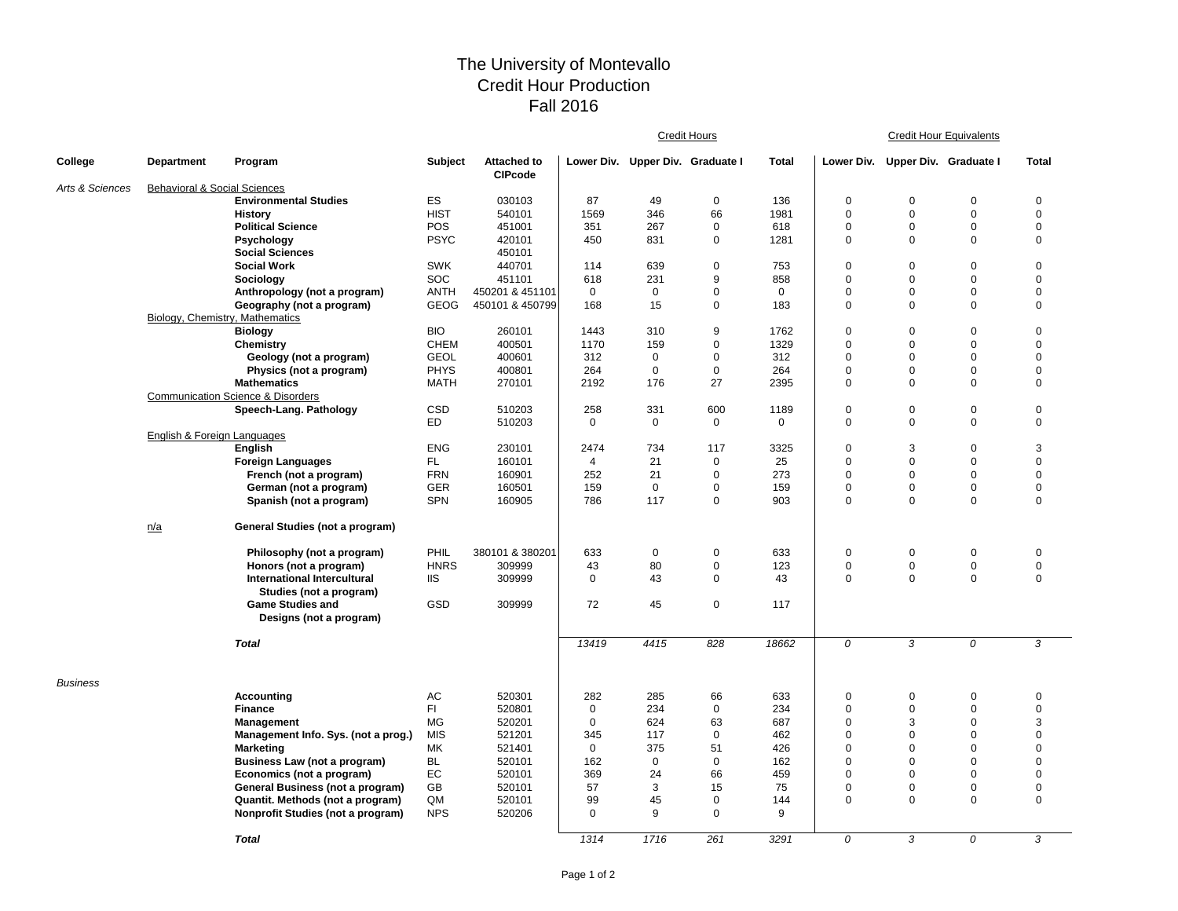## The University of Montevallo Credit Hour Production Fall 2016

|                 |                                         |                                                    |                  |                                      | <b>Credit Hours</b> |                                  |                   |              |                         | <b>Credit Hour Equivalents</b>   |                            |                            |  |
|-----------------|-----------------------------------------|----------------------------------------------------|------------------|--------------------------------------|---------------------|----------------------------------|-------------------|--------------|-------------------------|----------------------------------|----------------------------|----------------------------|--|
| College         | <b>Department</b>                       | Program                                            | <b>Subject</b>   | <b>Attached to</b><br><b>CIPcode</b> |                     | Lower Div. Upper Div. Graduate I |                   | <b>Total</b> |                         | Lower Div. Upper Div. Graduate I |                            | <b>Total</b>               |  |
| Arts & Sciences | <b>Behavioral &amp; Social Sciences</b> |                                                    |                  |                                      |                     |                                  |                   |              |                         |                                  |                            |                            |  |
|                 |                                         | <b>Environmental Studies</b>                       | <b>ES</b>        | 030103                               | 87                  | 49                               | $\mathbf 0$       | 136          | $\mathbf 0$             | 0                                | 0                          | 0                          |  |
|                 |                                         | <b>History</b>                                     | <b>HIST</b>      | 540101                               | 1569                | 346                              | 66                | 1981         | $\mathbf 0$             | $\mathbf 0$                      | $\mathbf 0$                | $\mathbf 0$                |  |
|                 |                                         | <b>Political Science</b>                           | POS              | 451001                               | 351                 | 267                              | 0                 | 618          | $\mathbf 0$             | $\mathbf 0$                      | $\mathbf 0$                | $\mathbf 0$                |  |
|                 |                                         | Psychology                                         | <b>PSYC</b>      | 420101                               | 450                 | 831                              | 0                 | 1281         | $\mathbf 0$             | $\mathbf 0$                      | $\mathbf 0$                | $\mathbf 0$                |  |
|                 |                                         | <b>Social Sciences</b>                             |                  | 450101                               |                     |                                  |                   |              |                         |                                  |                            |                            |  |
|                 |                                         | <b>Social Work</b>                                 | <b>SWK</b>       | 440701                               | 114                 | 639                              | 0                 | 753          | $\mathbf 0$             | $\mathbf 0$                      | $\mathbf 0$                | $\mathbf 0$                |  |
|                 |                                         | Sociology                                          | SOC              | 451101                               | 618                 | 231                              | 9                 | 858          | $\mathbf 0$             | $\mathbf 0$                      | $\mathbf 0$                | $\mathbf 0$                |  |
|                 |                                         | Anthropology (not a program)                       | <b>ANTH</b>      | 450201 & 451101                      | $\mathbf 0$         | 0                                | 0                 | $\mathbf 0$  | $\mathbf 0$             | $\mathbf 0$                      | $\mathbf 0$                | $\mathbf 0$                |  |
|                 | Biology, Chemistry, Mathematics         | Geography (not a program)                          | <b>GEOG</b>      | 450101 & 450799                      | 168                 | 15                               | 0                 | 183          | $\mathbf 0$             | $\mathbf 0$                      | $\mathbf 0$                | $\mathbf 0$                |  |
|                 |                                         | <b>Biology</b>                                     | <b>BIO</b>       | 260101                               | 1443                | 310                              | 9                 | 1762         | $\mathbf 0$             | $\Omega$                         | $\mathbf 0$                | $\mathbf 0$                |  |
|                 |                                         | Chemistry                                          | <b>CHEM</b>      | 400501                               | 1170                | 159                              | 0                 | 1329         | $\mathbf 0$             | $\mathbf 0$                      | $\mathbf 0$                | $\mathbf 0$                |  |
|                 |                                         | Geology (not a program)                            | <b>GEOL</b>      | 400601                               | 312                 | 0                                | 0                 | 312          | $\mathbf 0$             | $\Omega$                         | $\Omega$                   | $\mathbf 0$                |  |
|                 |                                         | Physics (not a program)                            | <b>PHYS</b>      | 400801                               | 264                 | $\mathbf 0$                      | 0                 | 264          | $\mathbf 0$             | $\mathbf 0$                      | $\mathbf 0$                | $\mathbf 0$                |  |
|                 |                                         | <b>Mathematics</b>                                 | <b>MATH</b>      | 270101                               | 2192                | 176                              | 27                | 2395         | $\mathbf 0$             | $\Omega$                         | $\mathbf 0$                | $\mathbf 0$                |  |
|                 |                                         | <b>Communication Science &amp; Disorders</b>       |                  |                                      |                     |                                  |                   |              |                         |                                  |                            |                            |  |
|                 |                                         | Speech-Lang. Pathology                             | CSD              | 510203                               | 258                 | 331                              | 600               | 1189         | $\mathsf 0$             | $\mathbf 0$                      | $\mathbf 0$                | $\pmb{0}$                  |  |
|                 |                                         |                                                    | <b>ED</b>        | 510203                               | $\mathbf 0$         | $\mathbf 0$                      | 0                 | 0            | $\mathbf 0$             | $\mathbf 0$                      | $\mathbf 0$                | $\mathbf 0$                |  |
|                 | English & Foreign Languages             | <b>English</b>                                     | <b>ENG</b>       | 230101                               | 2474                | 734                              | 117               | 3325         | $\mathbf 0$             | 3                                | $\mathbf 0$                | 3                          |  |
|                 |                                         | <b>Foreign Languages</b>                           | FL.              | 160101                               | $\overline{4}$      | 21                               | $\mathbf{0}$      | 25           | $\mathbf 0$             | $\Omega$                         | $\mathbf 0$                | $\mathbf 0$                |  |
|                 |                                         | French (not a program)                             | <b>FRN</b>       | 160901                               | 252                 | 21                               | 0                 | 273          | $\mathbf 0$             | $\mathbf 0$                      | $\mathbf 0$                | $\mathbf 0$                |  |
|                 |                                         | German (not a program)                             | <b>GER</b>       | 160501                               | 159                 | $\mathbf 0$                      | 0                 | 159          | $\mathbf 0$             | $\mathbf 0$                      | $\mathbf 0$                | $\mathbf 0$                |  |
|                 |                                         | Spanish (not a program)                            | <b>SPN</b>       | 160905                               | 786                 | 117                              | 0                 | 903          | $\mathbf 0$             | $\mathbf 0$                      | $\mathbf 0$                | $\mathbf 0$                |  |
|                 | n/a                                     | General Studies (not a program)                    |                  |                                      |                     |                                  |                   |              |                         |                                  |                            |                            |  |
|                 |                                         | Philosophy (not a program)                         | PHIL             | 380101 & 380201                      | 633                 | 0                                | 0                 | 633          | $\mathbf 0$             | 0                                | $\mathbf 0$                | $\mathbf 0$                |  |
|                 |                                         | Honors (not a program)                             | <b>HNRS</b>      | 309999                               | 43                  | 80                               | 0                 | 123          | $\mathbf 0$             | $\mathbf 0$                      | $\mathbf 0$                | $\mathbf 0$                |  |
|                 |                                         | <b>International Intercultural</b>                 | IIS              | 309999                               | $\mathbf 0$         | 43                               | 0                 | 43           | $\mathbf 0$             | $\mathbf 0$                      | $\mathbf 0$                | $\mathbf 0$                |  |
|                 |                                         | Studies (not a program)                            |                  |                                      |                     |                                  |                   |              |                         |                                  |                            |                            |  |
|                 |                                         | <b>Game Studies and</b><br>Designs (not a program) | GSD              | 309999                               | 72                  | 45                               | 0                 | 117          |                         |                                  |                            |                            |  |
|                 |                                         | <b>Total</b>                                       |                  |                                      | 13419               | 4415                             | 828               | 18662        | $\overline{0}$          | 3                                | $\overline{\mathcal{O}}$   | 3                          |  |
| Business        |                                         |                                                    |                  |                                      |                     |                                  |                   |              |                         |                                  |                            |                            |  |
|                 |                                         | <b>Accounting</b>                                  | AC               | 520301                               | 282                 | 285                              | 66                | 633          | $\mathbf 0$             | 0                                | 0                          | 0                          |  |
|                 |                                         | <b>Finance</b>                                     | FI.              | 520801                               | $\mathbf 0$         | 234                              | 0                 | 234          | $\mathbf 0$             | $\Omega$                         | 0                          | $\mathbf 0$                |  |
|                 |                                         | <b>Management</b>                                  | <b>MG</b>        | 520201                               | $\mathbf 0$         | 624                              | 63                | 687          | $\mathbf 0$             | 3                                | $\mathbf 0$                | 3                          |  |
|                 |                                         | Management Info. Sys. (not a prog.)                | <b>MIS</b><br>MK | 521201                               | 345<br>$\mathbf 0$  | 117<br>375                       | $\mathbf 0$<br>51 | 462<br>426   | $\mathbf 0$<br>$\Omega$ | $\Omega$<br>$\Omega$             | $\mathbf 0$<br>$\mathbf 0$ | $\mathbf 0$<br>$\mathbf 0$ |  |
|                 |                                         | <b>Marketing</b><br>Business Law (not a program)   | BL               | 521401<br>520101                     | 162                 | $\mathbf 0$                      | $\mathbf{0}$      | 162          | $\Omega$                | $\Omega$                         | $\Omega$                   | $\Omega$                   |  |
|                 |                                         | Economics (not a program)                          | EC               | 520101                               | 369                 | 24                               | 66                | 459          | $\mathbf 0$             | $\mathbf 0$                      | $\mathbf 0$                | $\mathbf 0$                |  |
|                 |                                         | General Business (not a program)                   | GB               | 520101                               | 57                  | 3                                | 15                | 75           | $\mathbf 0$             | $\mathbf 0$                      | $\mathbf 0$                | $\mathbf 0$                |  |
|                 |                                         | Quantit. Methods (not a program)                   | QM               | 520101                               | 99                  | 45                               | 0                 | 144          | $\mathbf 0$             | $\mathbf 0$                      | $\mathbf 0$                | $\mathbf 0$                |  |
|                 |                                         | Nonprofit Studies (not a program)                  | <b>NPS</b>       | 520206                               | $\Omega$            | 9                                | 0                 | 9            |                         |                                  |                            |                            |  |
|                 |                                         | <b>Total</b>                                       |                  |                                      | 1314                | 1716                             | 261               | 3291         | 0                       | 3                                | $\Omega$                   | 3                          |  |